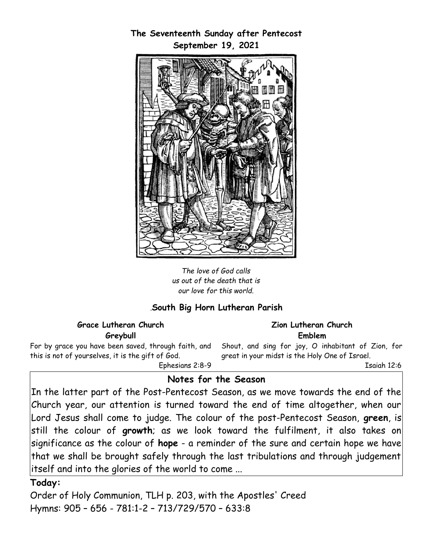

*The love of God calls us out of the death that is our love for this world.*

## *.***South Big Horn Lutheran Parish**

|          | Grace Lutheran Church |  |  |
|----------|-----------------------|--|--|
| Greybull |                       |  |  |

For by grace you have been saved, through faith, and this is not of yourselves, it is the gift of God.

Ephesians 2:8-9

#### **Zion Lutheran Church Emblem**

Shout, and sing for joy, O inhabitant of Zion, for great in your midst is the Holy One of Israel.

Isaiah 12:6

#### **Notes for the Season**

In the latter part of the Post-Pentecost Season, as we move towards the end of the Church year, our attention is turned toward the end of time altogether, when our Lord Jesus shall come to judge. The colour of the post-Pentecost Season, **green**, is still the colour of **growth**; as we look toward the fulfilment, it also takes on significance as the colour of **hope** - a reminder of the sure and certain hope we have that we shall be brought safely through the last tribulations and through judgement itself and into the glories of the world to come ...

#### **Today:**

Order of Holy Communion, TLH p. 203, with the Apostles' Creed Hymns: 905 – 656 - 781:1-2 – 713/729/570 – 633:8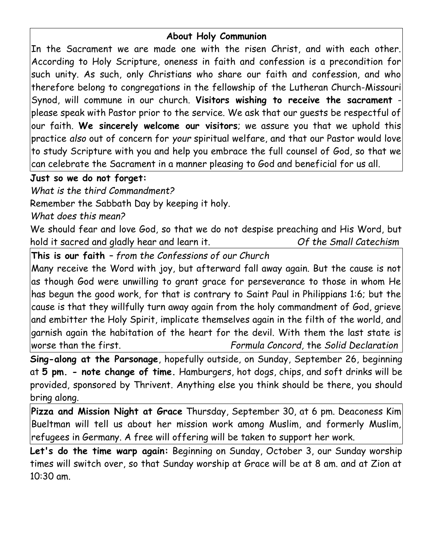# **About Holy Communion**

In the Sacrament we are made one with the risen Christ, and with each other. According to Holy Scripture, oneness in faith and confession is a precondition for such unity. As such, only Christians who share our faith and confession, and who therefore belong to congregations in the fellowship of the Lutheran Church-Missouri Synod, will commune in our church. **Visitors wishing to receive the sacrament** please speak with Pastor prior to the service. We ask that our guests be respectful of our faith. **We sincerely welcome our visitors**; we assure you that we uphold this practice *also* out of concern for *your* spiritual welfare, and that our Pastor would love to study Scripture with you and help you embrace the full counsel of God, so that we can celebrate the Sacrament in a manner pleasing to God and beneficial for us all.

## **Just so we do not forget:**

*What is the third Commandment?*

Remember the Sabbath Day by keeping it holy.

*What does this mean?*

We should fear and love God, so that we do not despise preaching and His Word, but hold it sacred and gladly hear and learn it. *Of the Small Catechism*

**This is our faith** *– from the Confessions of our Church*

Many receive the Word with joy, but afterward fall away again. But the cause is not as though God were unwilling to grant grace for perseverance to those in whom He has begun the good work, for that is contrary to Saint Paul in Philippians 1:6; but the cause is that they willfully turn away again from the holy commandment of God, grieve and embitter the Holy Spirit, implicate themselves again in the filth of the world, and garnish again the habitation of the heart for the devil. With them the last state is worse than the first. *Formula Concord,* the *Solid Declaration*

**Sing-along at the Parsonage**, hopefully outside, on Sunday, September 26, beginning at **5 pm. - note change of time.** Hamburgers, hot dogs, chips, and soft drinks will be provided, sponsored by Thrivent. Anything else you think should be there, you should bring along.

**Pizza and Mission Night at Grace** Thursday, September 30, at 6 pm. Deaconess Kim Bueltman will tell us about her mission work among Muslim, and formerly Muslim, refugees in Germany. A free will offering will be taken to support her work.

**Let's do the time warp again:** Beginning on Sunday, October 3, our Sunday worship times will switch over, so that Sunday worship at Grace will be at 8 am. and at Zion at 10:30 am.